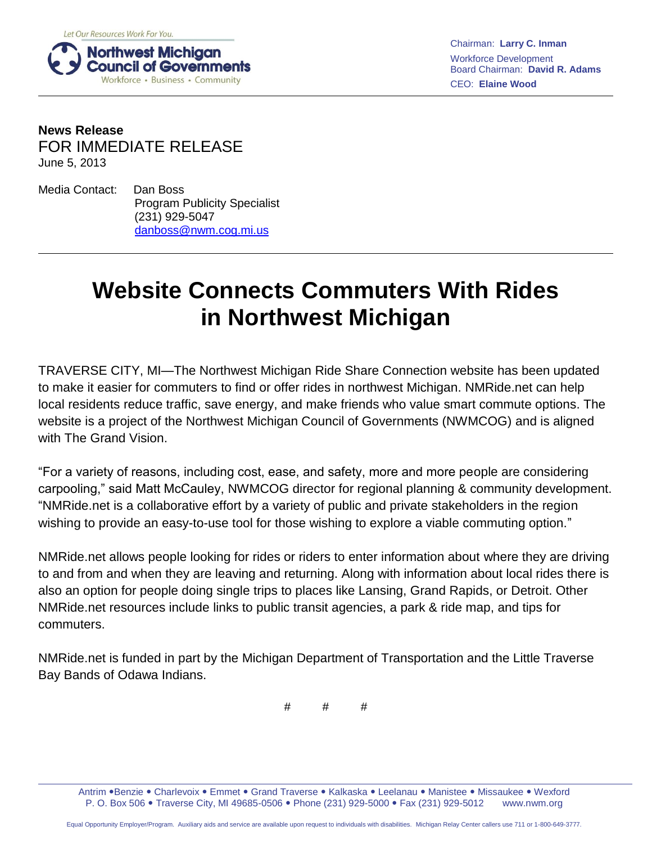

Chairman: **Larry C. Inman** Workforce Development Board Chairman: **David R. Adams** CEO: **Elaine Wood**

## **News Release** FOR IMMEDIATE RELEASE June 5, 2013

Media Contact: Dan Boss Program Publicity Specialist (231) 929-5047 [danboss@nwm.cog.mi.us](mailto:danboss@nwm.cog.mi.us)

## **Website Connects Commuters With Rides in Northwest Michigan**

TRAVERSE CITY, MI—The Northwest Michigan Ride Share Connection website has been updated to make it easier for commuters to find or offer rides in northwest Michigan. NMRide.net can help local residents reduce traffic, save energy, and make friends who value smart commute options. The website is a project of the Northwest Michigan Council of Governments (NWMCOG) and is aligned with The Grand Vision.

"For a variety of reasons, including cost, ease, and safety, more and more people are considering carpooling," said Matt McCauley, NWMCOG director for regional planning & community development. "NMRide.net is a collaborative effort by a variety of public and private stakeholders in the region wishing to provide an easy-to-use tool for those wishing to explore a viable commuting option."

NMRide.net allows people looking for rides or riders to enter information about where they are driving to and from and when they are leaving and returning. Along with information about local rides there is also an option for people doing single trips to places like Lansing, Grand Rapids, or Detroit. Other NMRide.net resources include links to public transit agencies, a park & ride map, and tips for commuters.

NMRide.net is funded in part by the Michigan Department of Transportation and the Little Traverse Bay Bands of Odawa Indians.

# # #

Antrim .Benzie . Charlevoix . Emmet . Grand Traverse . Kalkaska . Leelanau . Manistee . Missaukee . Wexford P. O. Box 506 . Traverse City, MI 49685-0506 . Phone (231) 929-5000 . Fax (231) 929-5012 www.nwm.org